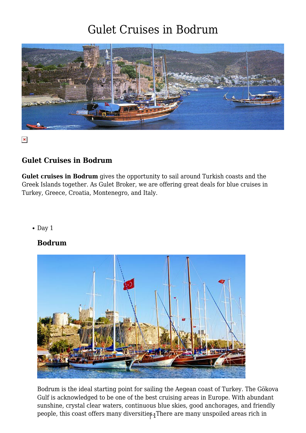

 $\pmb{\times}$ 

#### **Gulet Cruises in Bodrum**

**Gulet cruises in Bodrum** gives the opportunity to sail around Turkish coasts and the Greek Islands together. As Gulet Broker, we are offering great deals for blue cruises in Turkey, Greece, Croatia, Montenegro, and Italy.

 $\bullet$  Day 1

#### **Bodrum**



people, this coast offers many diversitie $\mathfrak{s}_4$ There are many unspoiled areas rich in Bodrum is the ideal starting point for sailing the Aegean coast of Turkey. The Gökova Gulf is acknowledged to be one of the best cruising areas in Europe. With abundant sunshine, crystal clear waters, continuous blue skies, good anchorages, and friendly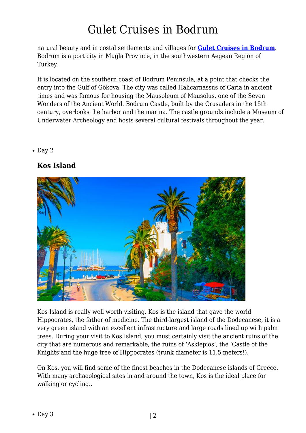natural beauty and in costal settlements and villages for **[Gulet Cruises in Bodrum](https://www.guletbroker.com/)**. Bodrum is a port city in Muğla Province, in the southwestern Aegean Region of Turkey.

It is located on the southern coast of Bodrum Peninsula, at a point that checks the entry into the Gulf of Gökova. The city was called Halicarnassus of Caria in ancient times and was famous for housing the Mausoleum of Mausolus, one of the Seven Wonders of the Ancient World. Bodrum Castle, built by the Crusaders in the 15th century, overlooks the harbor and the marina. The castle grounds include a Museum of Underwater Archeology and hosts several cultural festivals throughout the year.

#### $\bullet$  Day 2

#### **Kos Island**



Kos Island is really well worth visiting. Kos is the island that gave the world Hippocrates, the father of medicine. The third-largest island of the Dodecanese, it is a very green island with an excellent infrastructure and large roads lined up with palm trees. During your visit to Kos Island, you must certainly visit the ancient ruins of the city that are numerous and remarkable, the ruins of 'Asklepios', the 'Castle of the Knights'and the huge tree of Hippocrates (trunk diameter is 11,5 meters!).

On Kos, you will find some of the finest beaches in the Dodecanese islands of Greece. With many archaeological sites in and around the town, Kos is the ideal place for walking or cycling..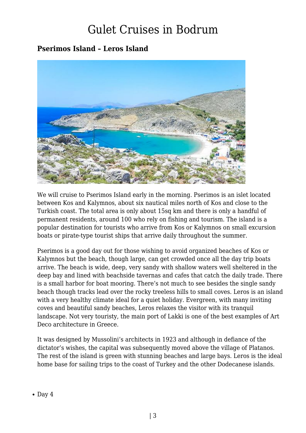### **Pserimos Island – Leros Island**



We will cruise to Pserimos Island early in the morning. Pserimos is an islet located between Kos and Kalymnos, about six nautical miles north of Kos and close to the Turkish coast. The total area is only about 15sq km and there is only a handful of permanent residents, around 100 who rely on fishing and tourism. The island is a popular destination for tourists who arrive from Kos or Kalymnos on small excursion boats or pirate-type tourist ships that arrive daily throughout the summer.

Pserimos is a good day out for those wishing to avoid organized beaches of Kos or Kalymnos but the beach, though large, can get crowded once all the day trip boats arrive. The beach is wide, deep, very sandy with shallow waters well sheltered in the deep bay and lined with beachside tavernas and cafes that catch the daily trade. There is a small harbor for boat mooring. There's not much to see besides the single sandy beach though tracks lead over the rocky treeless hills to small coves. Leros is an island with a very healthy climate ideal for a quiet holiday. Evergreen, with many inviting coves and beautiful sandy beaches, Leros relaxes the visitor with its tranquil landscape. Not very touristy, the main port of Lakki is one of the best examples of Art Deco architecture in Greece.

It was designed by Mussolini's architects in 1923 and although in defiance of the dictator's wishes, the capital was subsequently moved above the village of Platanos. The rest of the island is green with stunning beaches and large bays. Leros is the ideal home base for sailing trips to the coast of Turkey and the other Dodecanese islands.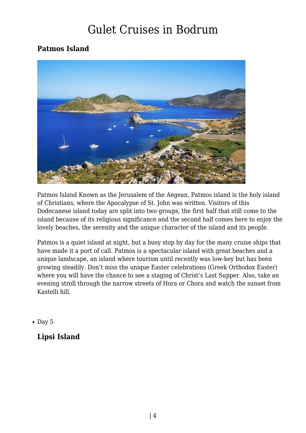### **Patmos Island**



Patmos Island Known as the Jerusalem of the Aegean, Patmos island is the holy island of Christians, where the Apocalypse of St. John was written. Visitors of this Dodecanese island today are split into two groups, the first half that still come to the island because of its religious significance and the second half comes here to enjoy the lovely beaches, the serenity and the unique character of the island and its people.

Patmos is a quiet island at night, but a busy stop by day for the many cruise ships that have made it a port of call. Patmos is a spectacular island with great beaches and a unique landscape, an island where tourism until recently was low-key but has been growing steadily. Don't miss the unique Easter celebrations (Greek Orthodox Easter) where you will have the chance to see a staging of Christ's Last Supper. Also, take an evening stroll through the narrow streets of Hora or Chora and watch the sunset from Kastelli hill.

 $\bullet$  Day 5

### **Lipsi Island**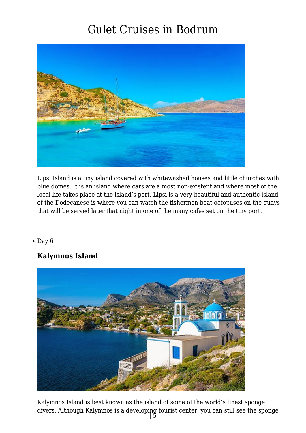

Lipsi Island is a tiny island covered with whitewashed houses and little churches with blue domes. It is an island where cars are almost non-existent and where most of the local life takes place at the island's port. Lipsi is a very beautiful and authentic island of the Dodecanese is where you can watch the fishermen beat octopuses on the quays that will be served later that night in one of the many cafes set on the tiny port.

 $\bullet$  Day 6

#### **Kalymnos Island**



Kalymnos Island is best known as the island of some of the world's finest sponge divers. Although Kalymnos is a developing tourist center, you can still see the sponge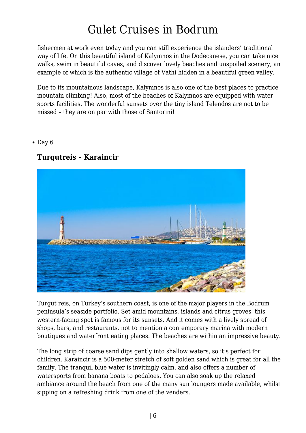fishermen at work even today and you can still experience the islanders' traditional way of life. On this beautiful island of Kalymnos in the Dodecanese, you can take nice walks, swim in beautiful caves, and discover lovely beaches and unspoiled scenery, an example of which is the authentic village of Vathi hidden in a beautiful green valley.

Due to its mountainous landscape, Kalymnos is also one of the best places to practice mountain climbing! Also, most of the beaches of Kalymnos are equipped with water sports facilities. The wonderful sunsets over the tiny island Telendos are not to be missed – they are on par with those of Santorini!

 $\bullet$  Day 6

#### **Turgutreis – Karaincir**



Turgut reis, on Turkey's southern coast, is one of the major players in the Bodrum peninsula's seaside portfolio. Set amid mountains, islands and citrus groves, this western-facing spot is famous for its sunsets. And it comes with a lively spread of shops, bars, and restaurants, not to mention a contemporary marina with modern boutiques and waterfront eating places. The beaches are within an impressive beauty.

The long strip of coarse sand dips gently into shallow waters, so it's perfect for children. Karaincir is a 500-meter stretch of soft golden sand which is great for all the family. The tranquil blue water is invitingly calm, and also offers a number of watersports from banana boats to pedaloes. You can also soak up the relaxed ambiance around the beach from one of the many sun loungers made available, whilst sipping on a refreshing drink from one of the venders.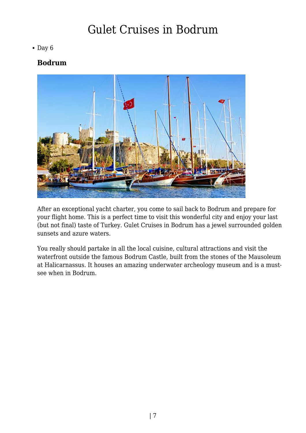#### $\bullet$  Day 6

#### **Bodrum**



After an exceptional yacht charter, you come to sail back to Bodrum and prepare for your flight home. This is a perfect time to visit this wonderful city and enjoy your last (but not final) taste of Turkey. Gulet Cruises in Bodrum has a jewel surrounded golden sunsets and azure waters.

You really should partake in all the local cuisine, cultural attractions and visit the waterfront outside the famous Bodrum Castle, built from the stones of the Mausoleum at Halicarnassus. It houses an amazing underwater archeology museum and is a mustsee when in Bodrum.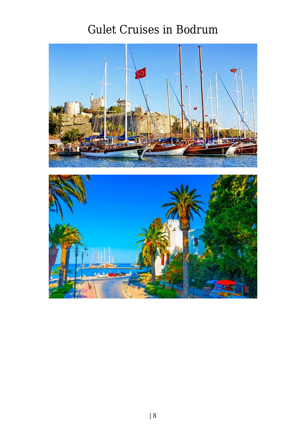

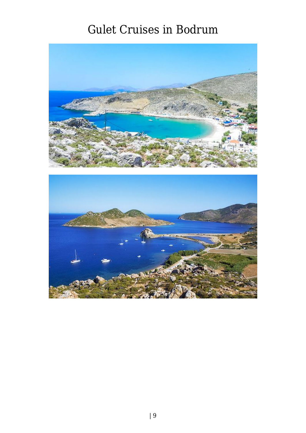

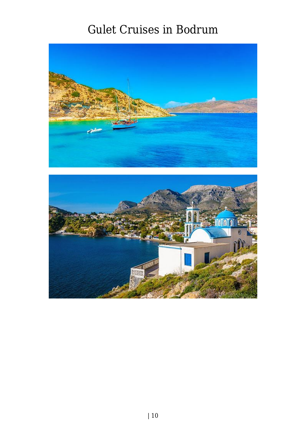